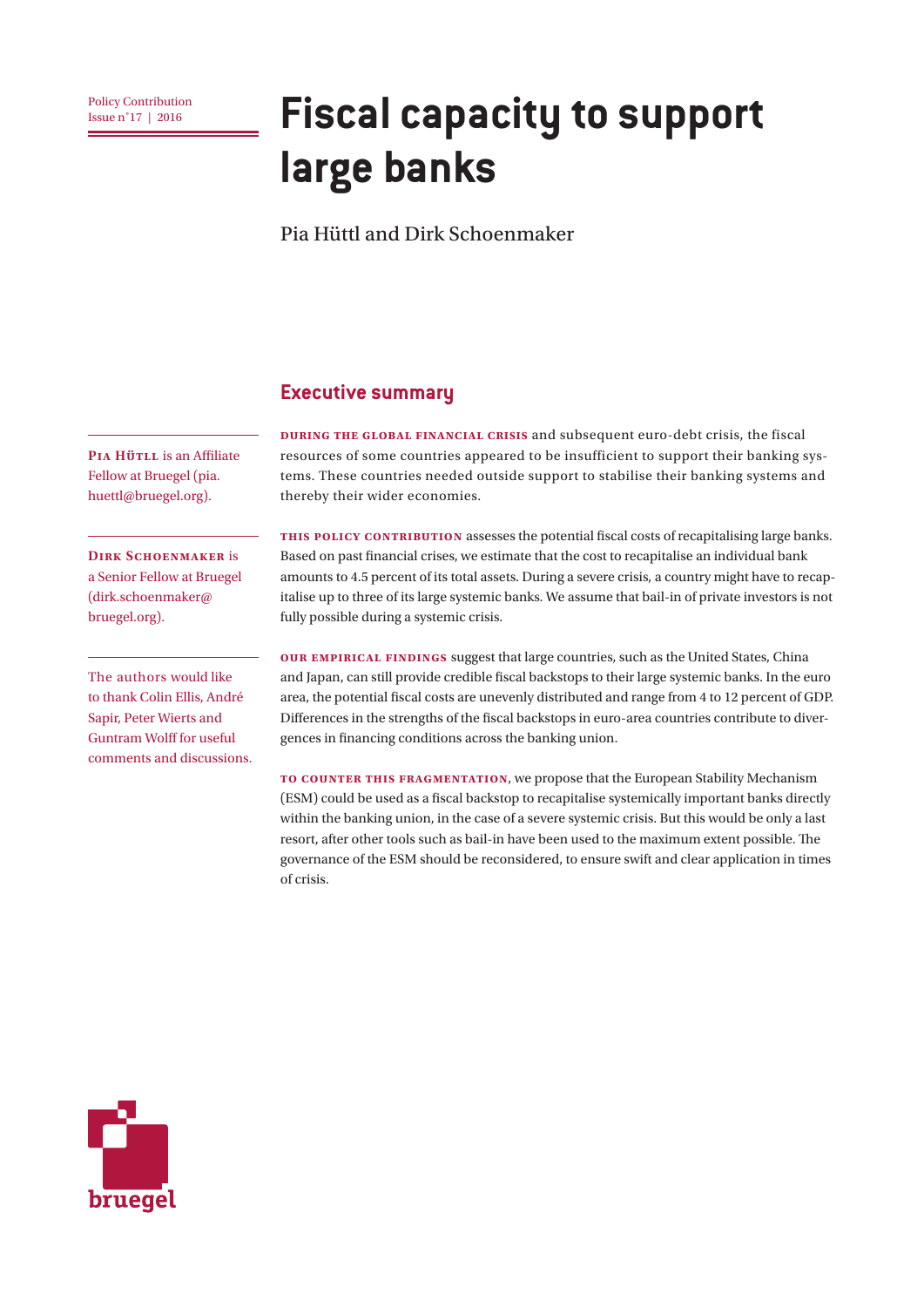# **<u>Policy Contribution</u> Fiscal capacity to support large banks**

Pia Hüttl and Dirk Schoenmaker

#### **Executive summary**

**During the global financial crisis** and subsequent euro-debt crisis, the fiscal resources of some countries appeared to be insufficient to support their banking systems. These countries needed outside support to stabilise their banking systems and thereby their wider economies.

**This Policy Contribution** assesses the potential fiscal costs of recapitalising large banks. Based on past financial crises, we estimate that the cost to recapitalise an individual bank amounts to 4.5 percent of its total assets. During a severe crisis, a country might have to recapitalise up to three of its large systemic banks. We assume that bail-in of private investors is not fully possible during a systemic crisis.

**Our empirical findings** suggest that large countries, such as the United States, China and Japan, can still provide credible fiscal backstops to their large systemic banks. In the euro area, the potential fiscal costs are unevenly distributed and range from 4 to 12 percent of GDP. Differences in the strengths of the fiscal backstops in euro-area countries contribute to divergences in financing conditions across the banking union.

**To counter this fragmentation**, we propose that the European Stability Mechanism (ESM) could be used as a fiscal backstop to recapitalise systemically important banks directly within the banking union, in the case of a severe systemic crisis. But this would be only a last resort, after other tools such as bail-in have been used to the maximum extent possible. The governance of the ESM should be reconsidered, to ensure swift and clear application in times of crisis.

bruegel

**PIA Hütll** is an Affiliate Fellow at Bruegel (pia. huettl@bruegel.org).

**DIRK SCHOENMAKER** is a Senior Fellow at Bruegel (dirk.schoenmaker@ bruegel.org).

The authors would like to thank Colin Ellis, André Sapir, Peter Wierts and Guntram Wolff for useful comments and discussions.

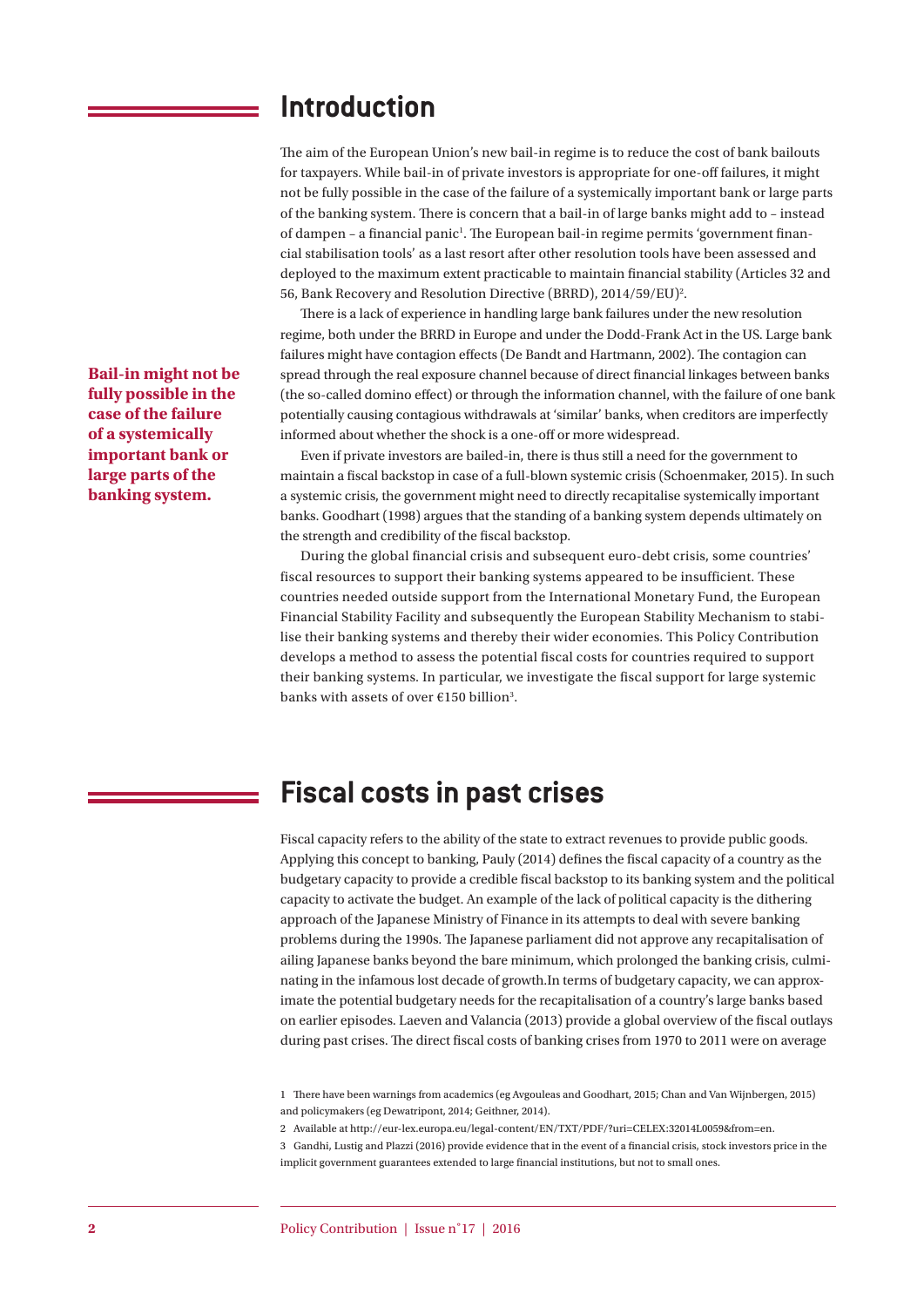### **Introduction**

The aim of the European Union's new bail-in regime is to reduce the cost of bank bailouts for taxpayers. While bail-in of private investors is appropriate for one-off failures, it might not be fully possible in the case of the failure of a systemically important bank or large parts of the banking system. There is concern that a bail-in of large banks might add to – instead of dampen - a financial panic<sup>1</sup>. The European bail-in regime permits 'government financial stabilisation tools' as a last resort after other resolution tools have been assessed and deployed to the maximum extent practicable to maintain financial stability (Articles 32 and 56, Bank Recovery and Resolution Directive (BRRD), 2014/59/EU)<sup>2</sup>.

There is a lack of experience in handling large bank failures under the new resolution regime, both under the BRRD in Europe and under the Dodd-Frank Act in the US. Large bank failures might have contagion effects (De Bandt and Hartmann, 2002). The contagion can spread through the real exposure channel because of direct financial linkages between banks (the so-called domino effect) or through the information channel, with the failure of one bank potentially causing contagious withdrawals at 'similar' banks, when creditors are imperfectly informed about whether the shock is a one-off or more widespread.

Even if private investors are bailed-in, there is thus still a need for the government to maintain a fiscal backstop in case of a full-blown systemic crisis (Schoenmaker, 2015). In such a systemic crisis, the government might need to directly recapitalise systemically important banks. Goodhart (1998) argues that the standing of a banking system depends ultimately on the strength and credibility of the fiscal backstop.

During the global financial crisis and subsequent euro-debt crisis, some countries' fiscal resources to support their banking systems appeared to be insufficient. These countries needed outside support from the International Monetary Fund, the European Financial Stability Facility and subsequently the European Stability Mechanism to stabilise their banking systems and thereby their wider economies. This Policy Contribution develops a method to assess the potential fiscal costs for countries required to support their banking systems. In particular, we investigate the fiscal support for large systemic banks with assets of over  $E150$  billion<sup>3</sup>.

# **Fiscal costs in past crises**

Fiscal capacity refers to the ability of the state to extract revenues to provide public goods. Applying this concept to banking, Pauly (2014) defines the fiscal capacity of a country as the budgetary capacity to provide a credible fiscal backstop to its banking system and the political capacity to activate the budget. An example of the lack of political capacity is the dithering approach of the Japanese Ministry of Finance in its attempts to deal with severe banking problems during the 1990s. The Japanese parliament did not approve any recapitalisation of ailing Japanese banks beyond the bare minimum, which prolonged the banking crisis, culminating in the infamous lost decade of growth.In terms of budgetary capacity, we can approximate the potential budgetary needs for the recapitalisation of a country's large banks based on earlier episodes. Laeven and Valancia (2013) provide a global overview of the fiscal outlays during past crises. The direct fiscal costs of banking crises from 1970 to 2011 were on average

1 There have been warnings from academics (eg Avgouleas and Goodhart, 2015; Chan and Van Wijnbergen, 2015) and policymakers (eg Dewatripont, 2014; Geithner, 2014).

2 Available at http://eur-lex.europa.eu/legal-content/EN/TXT/PDF/?uri=CELEX:32014L0059&from=en.

3 Gandhi, Lustig and Plazzi (2016) provide evidence that in the event of a financial crisis, stock investors price in the implicit government guarantees extended to large financial institutions, but not to small ones.

**Bail-in might not be fully possible in the case of the failure of a systemically important bank or large parts of the banking system.**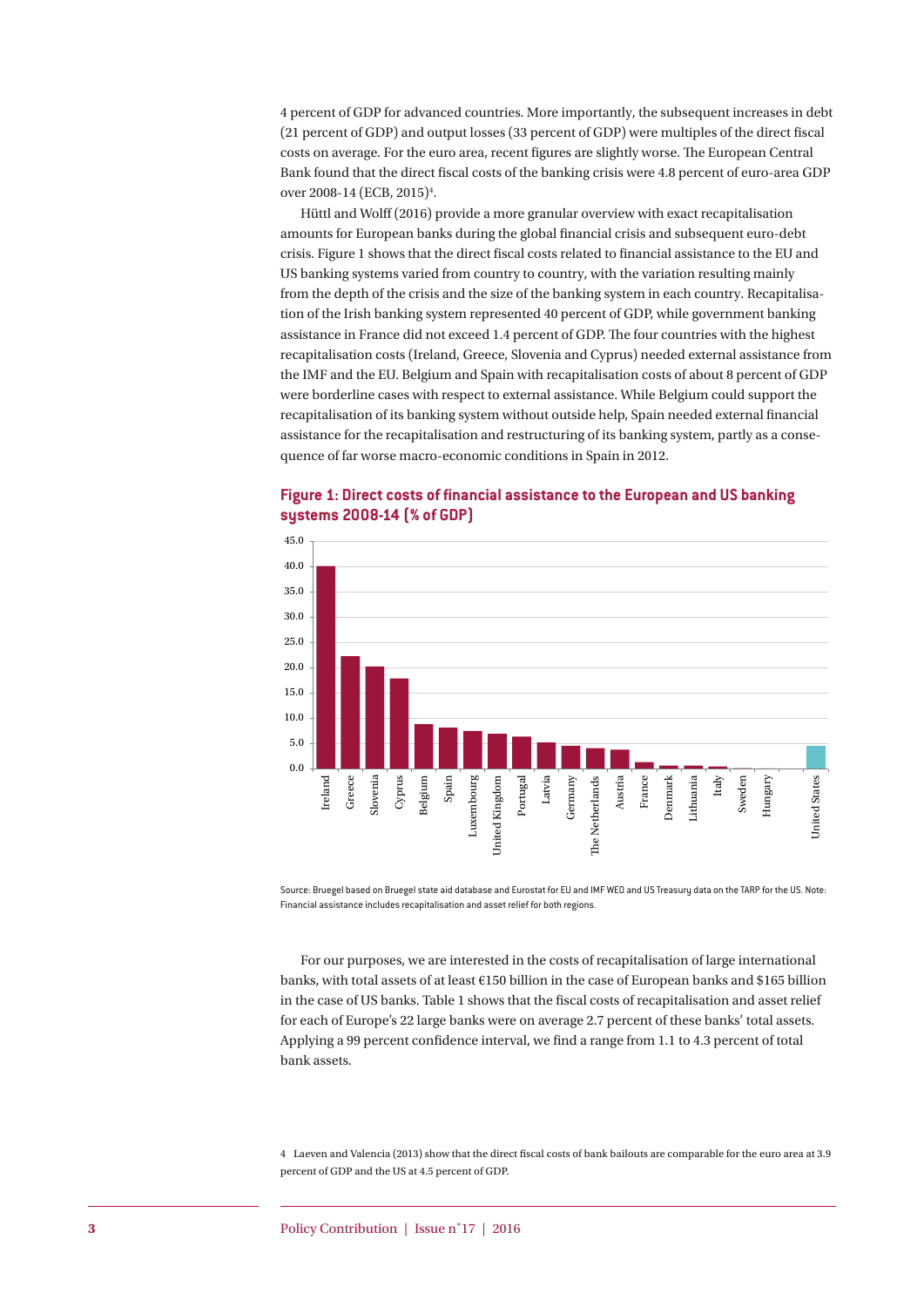4 percent of GDP for advanced countries. More importantly, the subsequent increases in debt (21 percent of GDP) and output losses (33 percent of GDP) were multiples of the direct fiscal costs on average. For the euro area, recent figures are slightly worse. The European Central Bank found that the direct fiscal costs of the banking crisis were 4.8 percent of euro-area GDP over 2008-14 (ECB, 2015)<sup>4</sup>.

Hüttl and Wolff (2016) provide a more granular overview with exact recapitalisation amounts for European banks during the global financial crisis and subsequent euro-debt crisis. Figure 1 shows that the direct fiscal costs related to financial assistance to the EU and US banking systems varied from country to country, with the variation resulting mainly from the depth of the crisis and the size of the banking system in each country. Recapitalisation of the Irish banking system represented 40 percent of GDP, while government banking assistance in France did not exceed 1.4 percent of GDP. The four countries with the highest recapitalisation costs (Ireland, Greece, Slovenia and Cyprus) needed external assistance from the IMF and the EU. Belgium and Spain with recapitalisation costs of about 8 percent of GDP were borderline cases with respect to external assistance. While Belgium could support the recapitalisation of its banking system without outside help, Spain needed external financial assistance for the recapitalisation and restructuring of its banking system, partly as a consequence of far worse macro-economic conditions in Spain in 2012.



#### **Figure 1: Direct costs of financial assistance to the European and US banking systems 2008-14 (% of GDP)**

Source: Bruegel based on Bruegel state aid database and Eurostat for EU and IMF WEO and US Treasury data on the TARP for the US. Note: Financial assistance includes recapitalisation and asset relief for both regions.

For our purposes, we are interested in the costs of recapitalisation of large international banks, with total assets of at least €150 billion in the case of European banks and \$165 billion in the case of US banks. Table 1 shows that the fiscal costs of recapitalisation and asset relief for each of Europe's 22 large banks were on average 2.7 percent of these banks' total assets. Applying a 99 percent confidence interval, we find a range from 1.1 to 4.3 percent of total bank assets.

4 Laeven and Valencia (2013) show that the direct fiscal costs of bank bailouts are comparable for the euro area at 3.9 percent of GDP and the US at 4.5 percent of GDP.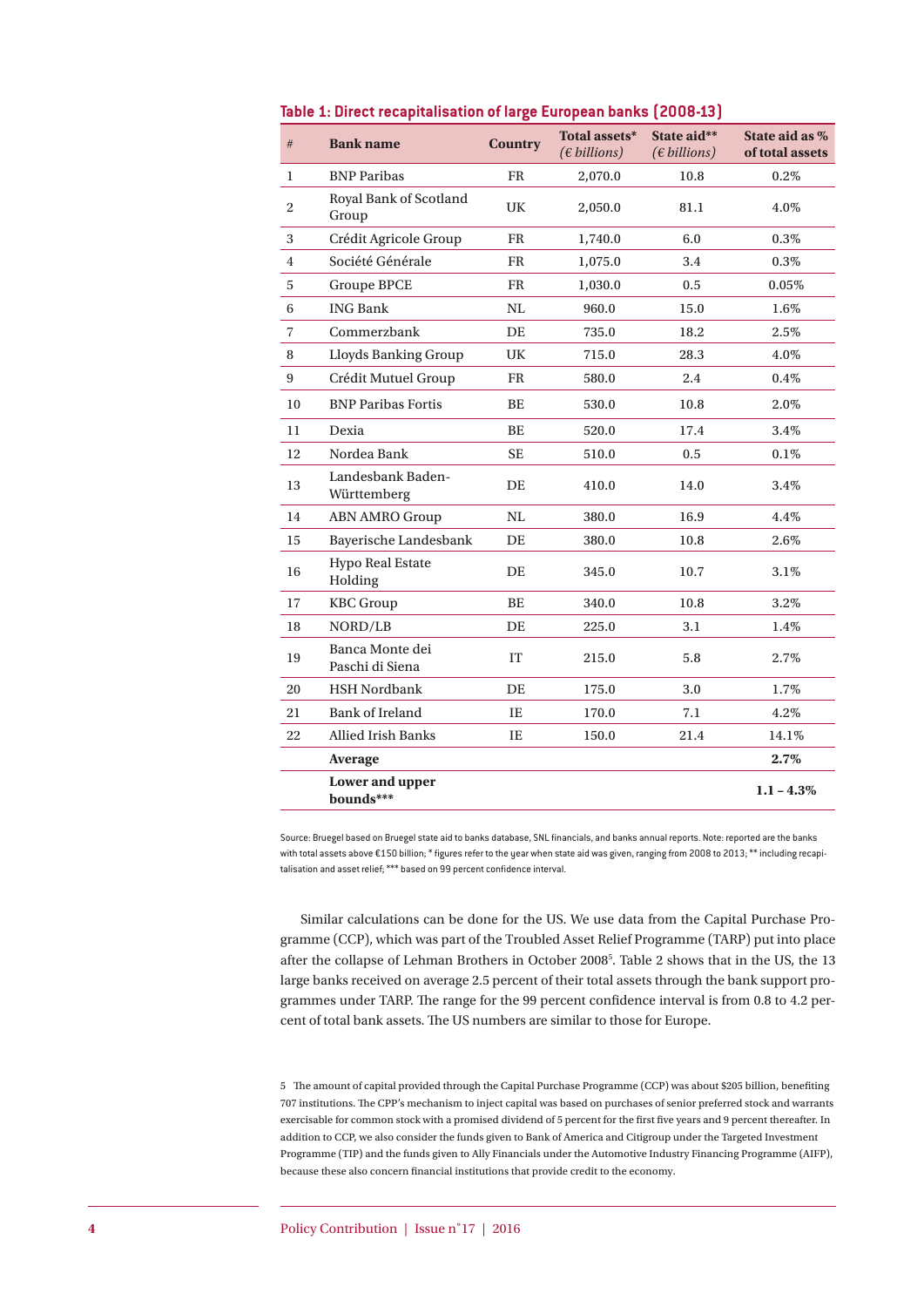| #              | <b>Bank name</b>                    | <b>Country</b> | Total assets*<br>$(\epsilon \text{ billions})$ | State aid**<br>$(\epsilon \, billions)$ | State aid as %<br>of total assets |
|----------------|-------------------------------------|----------------|------------------------------------------------|-----------------------------------------|-----------------------------------|
| 1              | <b>BNP</b> Paribas                  | <b>FR</b>      | 2,070.0                                        | 10.8                                    | 0.2%                              |
| $\overline{c}$ | Royal Bank of Scotland<br>Group     | UK             | 2,050.0                                        | 81.1                                    | 4.0%                              |
| 3              | Crédit Agricole Group               | <b>FR</b>      | 1,740.0                                        | 6.0                                     | 0.3%                              |
| 4              | Société Générale                    | <b>FR</b>      | 1,075.0                                        | 3.4                                     | $0.3\%$                           |
| 5              | <b>Groupe BPCE</b>                  | <b>FR</b>      | 1,030.0                                        | 0.5                                     | $0.05\%$                          |
| $\,6$          | <b>ING Bank</b>                     | NL             | 960.0                                          | 15.0                                    | 1.6%                              |
| 7              | Commerzbank                         | DE             | 735.0                                          | 18.2                                    | 2.5%                              |
| 8              | Lloyds Banking Group                | UK             | 715.0                                          | 28.3                                    | 4.0%                              |
| 9              | Crédit Mutuel Group                 | <b>FR</b>      | 580.0                                          | 2.4                                     | 0.4%                              |
| 10             | <b>BNP Paribas Fortis</b>           | <b>BE</b>      | 530.0                                          | 10.8                                    | 2.0%                              |
| 11             | Dexia                               | <b>BE</b>      | 520.0                                          | 17.4                                    | 3.4%                              |
| 12             | Nordea Bank                         | <b>SE</b>      | 510.0                                          | 0.5                                     | 0.1%                              |
| 13             | Landesbank Baden-<br>Württemberg    | DE             | 410.0                                          | 14.0                                    | 3.4%                              |
| 14             | <b>ABN AMRO Group</b>               | NL             | 380.0                                          | 16.9                                    | 4.4%                              |
| 15             | Bayerische Landesbank               | DE             | 380.0                                          | 10.8                                    | 2.6%                              |
| 16             | <b>Hypo Real Estate</b><br>Holding  | DE             | 345.0                                          | 10.7                                    | 3.1%                              |
| 17             | <b>KBC</b> Group                    | <b>BE</b>      | 340.0                                          | 10.8                                    | 3.2%                              |
| 18             | NORD/LB                             | DE             | 225.0                                          | 3.1                                     | 1.4%                              |
| 19             | Banca Monte dei<br>Paschi di Siena  | IT             | 215.0                                          | 5.8                                     | 2.7%                              |
| 20             | <b>HSH Nordbank</b>                 | DE             | 175.0                                          | 3.0                                     | 1.7%                              |
| 21             | <b>Bank of Ireland</b>              | IE             | 170.0                                          | 7.1                                     | 4.2%                              |
| 22             | <b>Allied Irish Banks</b>           | IE             | 150.0                                          | 21.4                                    | 14.1%                             |
|                | Average                             |                |                                                |                                         | 2.7%                              |
|                | <b>Lower and upper</b><br>bounds*** |                |                                                |                                         | $1.1 - 4.3\%$                     |

#### **Table 1: Direct recapitalisation of large European banks (2008-13)**

Source: Bruegel based on Bruegel state aid to banks database, SNL financials, and banks annual reports. Note: reported are the banks with total assets above €150 billion; \* figures refer to the year when state aid was given, ranging from 2008 to 2013; \*\* including recapitalisation and asset relief;  $***$  based on 99 percent confidence interval.

Similar calculations can be done for the US. We use data from the Capital Purchase Programme (CCP), which was part of the Troubled Asset Relief Programme (TARP) put into place after the collapse of Lehman Brothers in October 20085 . Table 2 shows that in the US, the 13 large banks received on average 2.5 percent of their total assets through the bank support programmes under TARP. The range for the 99 percent confidence interval is from 0.8 to 4.2 percent of total bank assets. The US numbers are similar to those for Europe.

5 The amount of capital provided through the Capital Purchase Programme (CCP) was about \$205 billion, benefiting 707 institutions. The CPP's mechanism to inject capital was based on purchases of senior preferred stock and warrants exercisable for common stock with a promised dividend of 5 percent for the first five years and 9 percent thereafter. In addition to CCP, we also consider the funds given to Bank of America and Citigroup under the Targeted Investment Programme (TIP) and the funds given to Ally Financials under the Automotive Industry Financing Programme (AIFP), because these also concern financial institutions that provide credit to the economy.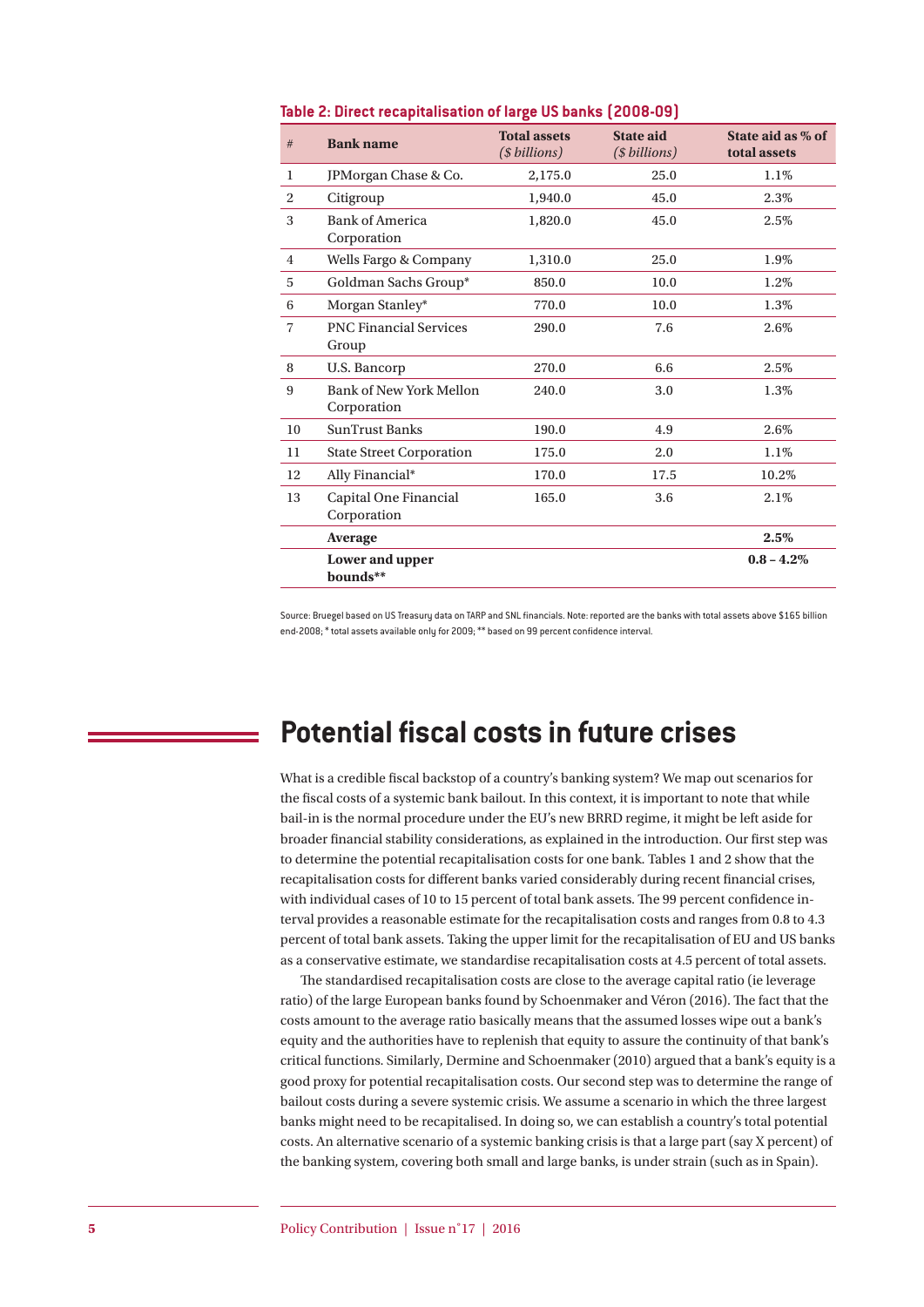| #              | <b>Bank name</b>                              | <b>Total assets</b><br>(\$billions) | <b>State aid</b><br>(\$billions) | State aid as % of<br>total assets |
|----------------|-----------------------------------------------|-------------------------------------|----------------------------------|-----------------------------------|
| 1              | JPMorgan Chase & Co.                          | 2,175.0                             | 25.0                             | 1.1%                              |
| $\overline{2}$ | Citigroup                                     | 1,940.0                             | 45.0                             | 2.3%                              |
| 3              | <b>Bank of America</b><br>Corporation         | 1,820.0                             | 45.0                             | 2.5%                              |
| $\overline{4}$ | Wells Fargo & Company                         | 1,310.0                             | 25.0                             | 1.9%                              |
| 5              | Goldman Sachs Group*                          | 850.0                               | 10.0                             | 1.2%                              |
| 6              | Morgan Stanley*                               | 770.0                               | 10.0                             | 1.3%                              |
| 7              | <b>PNC Financial Services</b><br>Group        | 290.0                               | 7.6                              | 2.6%                              |
| 8              | U.S. Bancorp                                  | 270.0                               | 6.6                              | 2.5%                              |
| 9              | <b>Bank of New York Mellon</b><br>Corporation | 240.0                               | 3.0                              | 1.3%                              |
| 10             | <b>SunTrust Banks</b>                         | 190.0                               | 4.9                              | 2.6%                              |
| 11             | <b>State Street Corporation</b>               | 175.0                               | 2.0                              | 1.1%                              |
| 12             | Ally Financial*                               | 170.0                               | 17.5                             | 10.2%                             |
| 13             | Capital One Financial<br>Corporation          | 165.0                               | 3.6                              | 2.1%                              |
|                | <b>Average</b>                                |                                     |                                  | 2.5%                              |
|                | <b>Lower and upper</b><br>bounds**            |                                     |                                  | $0.8 - 4.2\%$                     |

#### **Table 2: Direct recapitalisation of large US banks (2008-09)**

Source: Bruegel based on US Treasury data on TARP and SNL financials. Note: reported are the banks with total assets above \$165 billion end-2008; \* total assets available only for 2009; \*\* based on 99 percent confidence interval.

### **Potential fiscal costs in future crises**

What is a credible fiscal backstop of a country's banking system? We map out scenarios for the fiscal costs of a systemic bank bailout. In this context, it is important to note that while bail-in is the normal procedure under the EU's new BRRD regime, it might be left aside for broader financial stability considerations, as explained in the introduction. Our first step was to determine the potential recapitalisation costs for one bank. Tables 1 and 2 show that the recapitalisation costs for different banks varied considerably during recent financial crises, with individual cases of 10 to 15 percent of total bank assets. The 99 percent confidence interval provides a reasonable estimate for the recapitalisation costs and ranges from 0.8 to 4.3 percent of total bank assets. Taking the upper limit for the recapitalisation of EU and US banks as a conservative estimate, we standardise recapitalisation costs at 4.5 percent of total assets.

The standardised recapitalisation costs are close to the average capital ratio (ie leverage ratio) of the large European banks found by Schoenmaker and Véron (2016). The fact that the costs amount to the average ratio basically means that the assumed losses wipe out a bank's equity and the authorities have to replenish that equity to assure the continuity of that bank's critical functions. Similarly, Dermine and Schoenmaker (2010) argued that a bank's equity is a good proxy for potential recapitalisation costs. Our second step was to determine the range of bailout costs during a severe systemic crisis. We assume a scenario in which the three largest banks might need to be recapitalised. In doing so, we can establish a country's total potential costs. An alternative scenario of a systemic banking crisis is that a large part (say X percent) of the banking system, covering both small and large banks, is under strain (such as in Spain).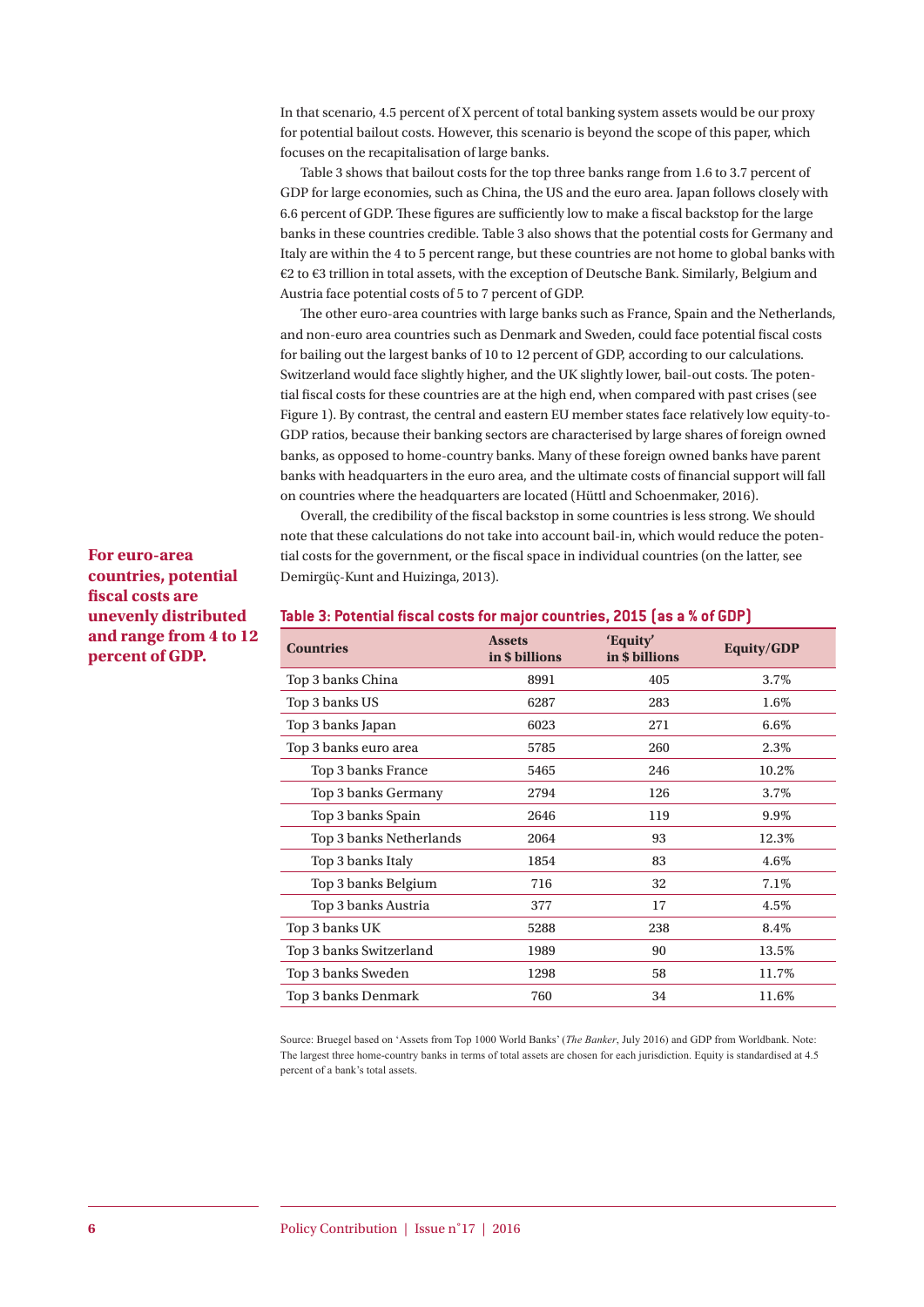In that scenario, 4.5 percent of X percent of total banking system assets would be our proxy for potential bailout costs. However, this scenario is beyond the scope of this paper, which focuses on the recapitalisation of large banks.

Table 3 shows that bailout costs for the top three banks range from 1.6 to 3.7 percent of GDP for large economies, such as China, the US and the euro area. Japan follows closely with 6.6 percent of GDP. These figures are sufficiently low to make a fiscal backstop for the large banks in these countries credible. Table 3 also shows that the potential costs for Germany and Italy are within the 4 to 5 percent range, but these countries are not home to global banks with €2 to €3 trillion in total assets, with the exception of Deutsche Bank. Similarly, Belgium and Austria face potential costs of 5 to 7 percent of GDP.

The other euro-area countries with large banks such as France, Spain and the Netherlands, and non-euro area countries such as Denmark and Sweden, could face potential fiscal costs for bailing out the largest banks of 10 to 12 percent of GDP, according to our calculations. Switzerland would face slightly higher, and the UK slightly lower, bail-out costs. The potential fiscal costs for these countries are at the high end, when compared with past crises (see Figure 1). By contrast, the central and eastern EU member states face relatively low equity-to-GDP ratios, because their banking sectors are characterised by large shares of foreign owned banks, as opposed to home-country banks. Many of these foreign owned banks have parent banks with headquarters in the euro area, and the ultimate costs of financial support will fall on countries where the headquarters are located (Hüttl and Schoenmaker, 2016).

Overall, the credibility of the fiscal backstop in some countries is less strong. We should note that these calculations do not take into account bail-in, which would reduce the potential costs for the government, or the fiscal space in individual countries (on the latter, see Demirgüç-Kunt and Huizinga, 2013).

#### **For euro-area countries, potential fiscal costs are unevenly distributed and range from 4 to 12 percent of GDP.**

| <b>Countries</b>        | <b>Assets</b><br>in \$ billions | 'Equity'<br>in \$ billions | <b>Equity/GDP</b> |
|-------------------------|---------------------------------|----------------------------|-------------------|
| Top 3 banks China       | 8991                            | 405                        | 3.7%              |
| Top 3 banks US          | 6287                            | 283                        | 1.6%              |
| Top 3 banks Japan       | 6023                            | 271                        | $6.6\%$           |
| Top 3 banks euro area   | 5785                            | 260                        | 2.3%              |
| Top 3 banks France      | 5465                            | 246                        | 10.2%             |
| Top 3 banks Germany     | 2794                            | 126                        | 3.7%              |
| Top 3 banks Spain       | 2646                            | 119                        | 9.9%              |
| Top 3 banks Netherlands | 2064                            | 93                         | 12.3%             |
| Top 3 banks Italy       | 1854                            | 83                         | 4.6%              |
| Top 3 banks Belgium     | 716                             | 32                         | 7.1%              |
| Top 3 banks Austria     | 377                             | 17                         | 4.5%              |
| Top 3 banks UK          | 5288                            | 238                        | 8.4%              |
| Top 3 banks Switzerland | 1989                            | 90                         | 13.5%             |
| Top 3 banks Sweden      | 1298                            | 58                         | 11.7%             |
| Top 3 banks Denmark     | 760                             | 34                         | 11.6%             |

#### **Table 3: Potential fiscal costs for major countries, 2015 (as a % of GDP)**

Source: Bruegel based on 'Assets from Top 1000 World Banks' (*The Banker*, July 2016) and GDP from Worldbank. Note: The largest three home-country banks in terms of total assets are chosen for each jurisdiction. Equity is standardised at 4.5 percent of a bank's total assets.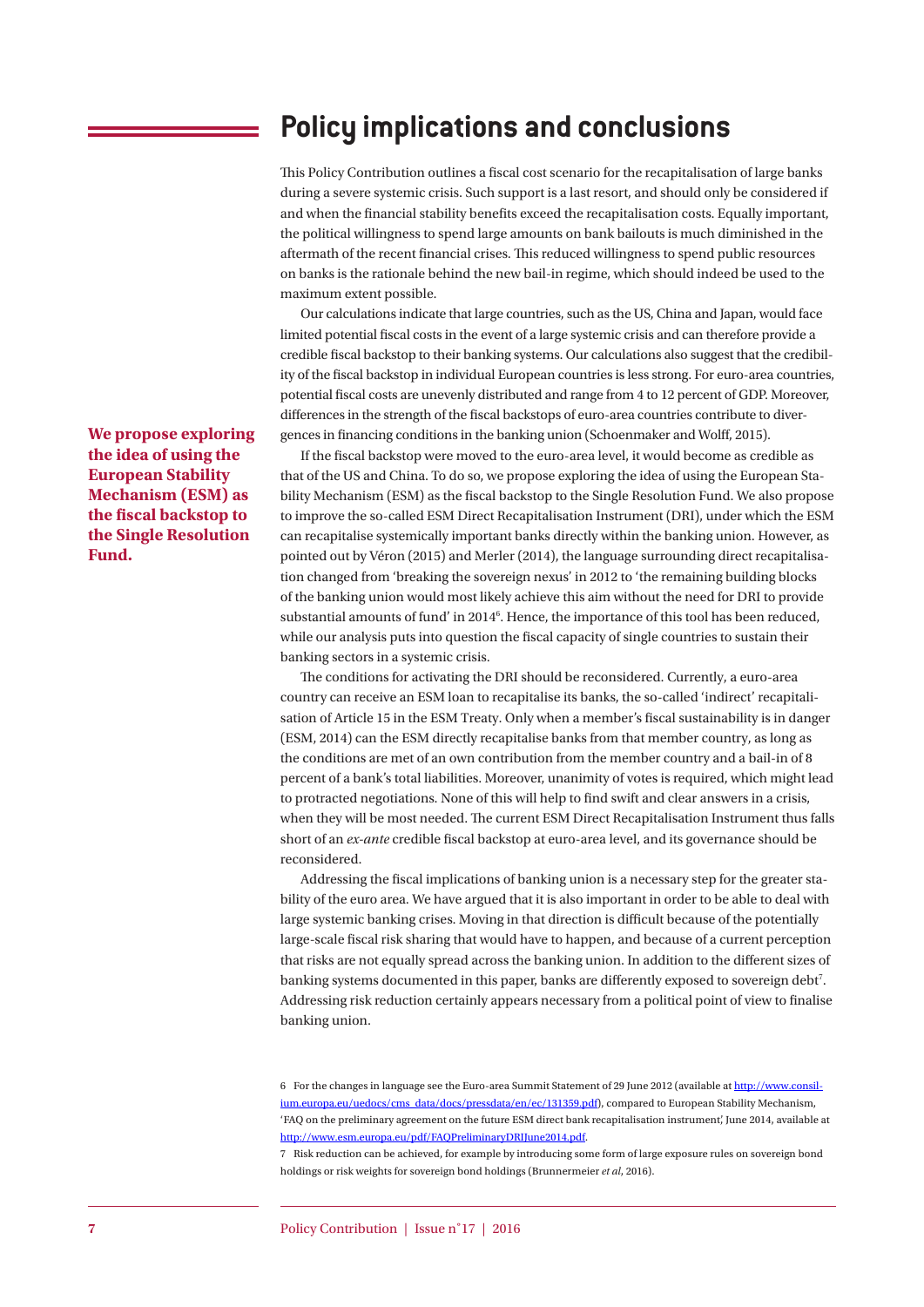## **Policy implications and conclusions**

This Policy Contribution outlines a fiscal cost scenario for the recapitalisation of large banks during a severe systemic crisis. Such support is a last resort, and should only be considered if and when the financial stability benefits exceed the recapitalisation costs. Equally important, the political willingness to spend large amounts on bank bailouts is much diminished in the aftermath of the recent financial crises. This reduced willingness to spend public resources on banks is the rationale behind the new bail-in regime, which should indeed be used to the maximum extent possible.

Our calculations indicate that large countries, such as the US, China and Japan, would face limited potential fiscal costs in the event of a large systemic crisis and can therefore provide a credible fiscal backstop to their banking systems. Our calculations also suggest that the credibility of the fiscal backstop in individual European countries is less strong. For euro-area countries, potential fiscal costs are unevenly distributed and range from 4 to 12 percent of GDP. Moreover, differences in the strength of the fiscal backstops of euro-area countries contribute to divergences in financing conditions in the banking union (Schoenmaker and Wolff, 2015).

If the fiscal backstop were moved to the euro-area level, it would become as credible as that of the US and China. To do so, we propose exploring the idea of using the European Stability Mechanism (ESM) as the fiscal backstop to the Single Resolution Fund. We also propose to improve the so-called ESM Direct Recapitalisation Instrument (DRI), under which the ESM can recapitalise systemically important banks directly within the banking union. However, as pointed out by Véron (2015) and Merler (2014), the language surrounding direct recapitalisation changed from 'breaking the sovereign nexus' in 2012 to 'the remaining building blocks of the banking union would most likely achieve this aim without the need for DRI to provide substantial amounts of fund' in 2014<sup>6</sup>. Hence, the importance of this tool has been reduced, while our analysis puts into question the fiscal capacity of single countries to sustain their banking sectors in a systemic crisis.

The conditions for activating the DRI should be reconsidered. Currently, a euro-area country can receive an ESM loan to recapitalise its banks, the so-called 'indirect' recapitalisation of Article 15 in the ESM Treaty. Only when a member's fiscal sustainability is in danger (ESM, 2014) can the ESM directly recapitalise banks from that member country, as long as the conditions are met of an own contribution from the member country and a bail-in of 8 percent of a bank's total liabilities. Moreover, unanimity of votes is required, which might lead to protracted negotiations. None of this will help to find swift and clear answers in a crisis, when they will be most needed. The current ESM Direct Recapitalisation Instrument thus falls short of an *ex-ante* credible fiscal backstop at euro-area level, and its governance should be reconsidered.

Addressing the fiscal implications of banking union is a necessary step for the greater stability of the euro area. We have argued that it is also important in order to be able to deal with large systemic banking crises. Moving in that direction is difficult because of the potentially large-scale fiscal risk sharing that would have to happen, and because of a current perception that risks are not equally spread across the banking union. In addition to the different sizes of banking systems documented in this paper, banks are differently exposed to sovereign debt<sup>7</sup>. Addressing risk reduction certainly appears necessary from a political point of view to finalise banking union.

6 For the changes in language see the Euro-area Summit Statement of 29 June 2012 (available at http://www.consilium.europa.eu/uedocs/cms\_data/docs/pressdata/en/ec/131359.pdf), compared to European Stability Mechanism, 'FAQ on the preliminary agreement on the future ESM direct bank recapitalisation instrument', June 2014, available at http://www.esm.europa.eu/pdf/FAQPreliminaryDRIJune2014.pdf.

7 Risk reduction can be achieved, for example by introducing some form of large exposure rules on sovereign bond holdings or risk weights for sovereign bond holdings (Brunnermeier *et al*, 2016).

**We propose exploring the idea of using the European Stability Mechanism (ESM) as the fiscal backstop to the Single Resolution Fund.**